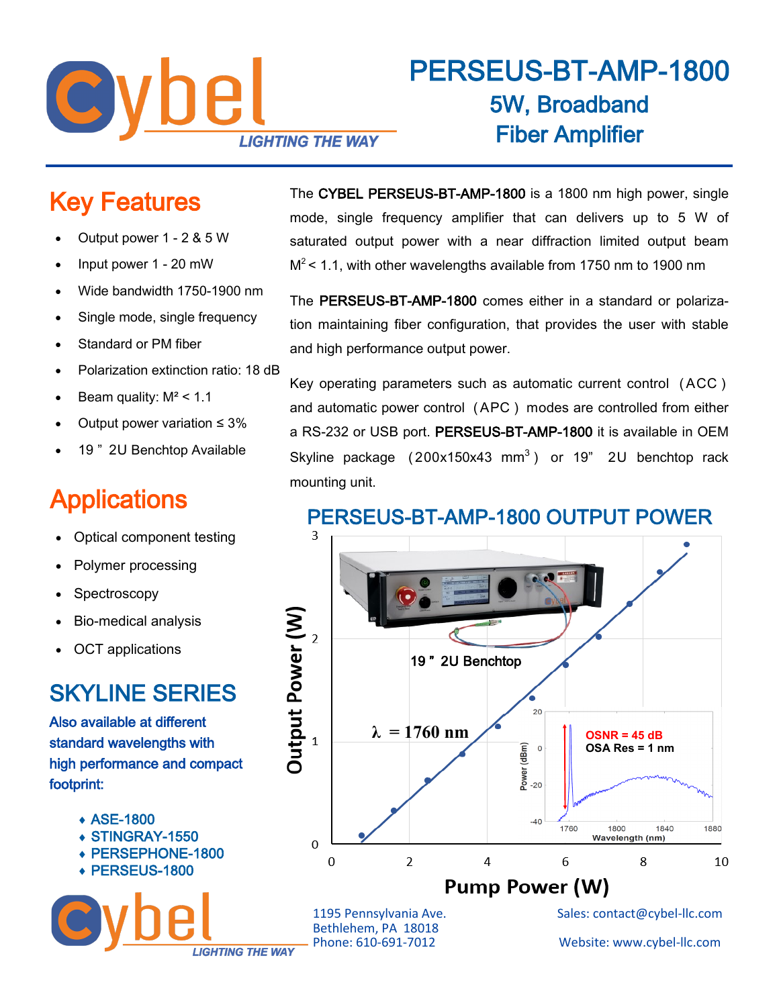

# PERSEUS-BT-AMP-1800 5W, Broadband Fiber Amplifier

# Key Features

- Output power 1 2 & 5 W
- Input power 1 20 mW
- Wide bandwidth 1750-1900 nm
- Single mode, single frequency
- Standard or PM fiber
- Polarization extinction ratio: 18 dB
- Beam quality:  $M^2$  < 1.1
- Output power variation  $\leq 3\%$
- 19 " 2U Benchtop Available

# **Applications**

- Optical component testing
- Polymer processing
- **Spectroscopy**
- Bio-medical analysis
- OCT applications

### SKYLINE SERIES

Also available at different standard wavelengths with high performance and compact footprint:

- ASE-1800
- STINGRAY-1550
- PERSEPHONE-1800

**LIGHTING THE WAY** 

◆ PERSEUS-1800

The CYBEL PERSEUS-BT-AMP-1800 is a 1800 nm high power, single mode, single frequency amplifier that can delivers up to 5 W of saturated output power with a near diffraction limited output beam  $M^2$  < 1.1, with other wavelengths available from 1750 nm to 1900 nm

The PERSEUS-BT-AMP-1800 comes either in a standard or polarization maintaining fiber configuration, that provides the user with stable and high performance output power.

Key operating parameters such as automatic current control ( ACC ) and automatic power control ( APC ) modes are controlled from either a RS-232 or USB port. PERSEUS-BT-AMP-1800 it is available in OEM Skyline package  $(200x150x43 \text{ mm}^3)$  or 19" 2U benchtop rack mounting unit.



Bethlehem, PA 18018

1195 Pennsylvania Ave. Sales: contact@cybel-llc.com

Website: www.cybel-llc.com

#### PERSEUS-BT-AMP-1800 OUTPUT POWER